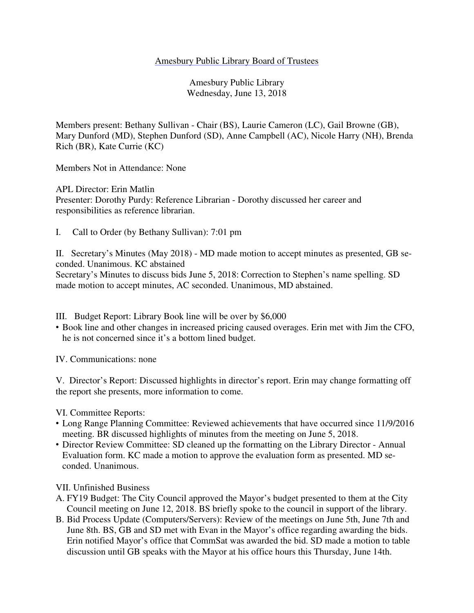## Amesbury Public Library Board of Trustees

Amesbury Public Library Wednesday, June 13, 2018

Members present: Bethany Sullivan - Chair (BS), Laurie Cameron (LC), Gail Browne (GB), Mary Dunford (MD), Stephen Dunford (SD), Anne Campbell (AC), Nicole Harry (NH), Brenda Rich (BR), Kate Currie (KC)

Members Not in Attendance: None

APL Director: Erin Matlin Presenter: Dorothy Purdy: Reference Librarian - Dorothy discussed her career and responsibilities as reference librarian.

I. Call to Order (by Bethany Sullivan): 7:01 pm

II. Secretary's Minutes (May 2018) - MD made motion to accept minutes as presented, GB seconded. Unanimous. KC abstained

Secretary's Minutes to discuss bids June 5, 2018: Correction to Stephen's name spelling. SD made motion to accept minutes, AC seconded. Unanimous, MD abstained.

III. Budget Report: Library Book line will be over by \$6,000

• Book line and other changes in increased pricing caused overages. Erin met with Jim the CFO, he is not concerned since it's a bottom lined budget.

IV. Communications: none

V. Director's Report: Discussed highlights in director's report. Erin may change formatting off the report she presents, more information to come.

VI. Committee Reports:

- Long Range Planning Committee: Reviewed achievements that have occurred since 11/9/2016 meeting. BR discussed highlights of minutes from the meeting on June 5, 2018.
- Director Review Committee: SD cleaned up the formatting on the Library Director Annual Evaluation form. KC made a motion to approve the evaluation form as presented. MD seconded. Unanimous.

VII. Unfinished Business

- A. FY19 Budget: The City Council approved the Mayor's budget presented to them at the City Council meeting on June 12, 2018. BS briefly spoke to the council in support of the library.
- B. Bid Process Update (Computers/Servers): Review of the meetings on June 5th, June 7th and June 8th. BS, GB and SD met with Evan in the Mayor's office regarding awarding the bids. Erin notified Mayor's office that CommSat was awarded the bid. SD made a motion to table discussion until GB speaks with the Mayor at his office hours this Thursday, June 14th.